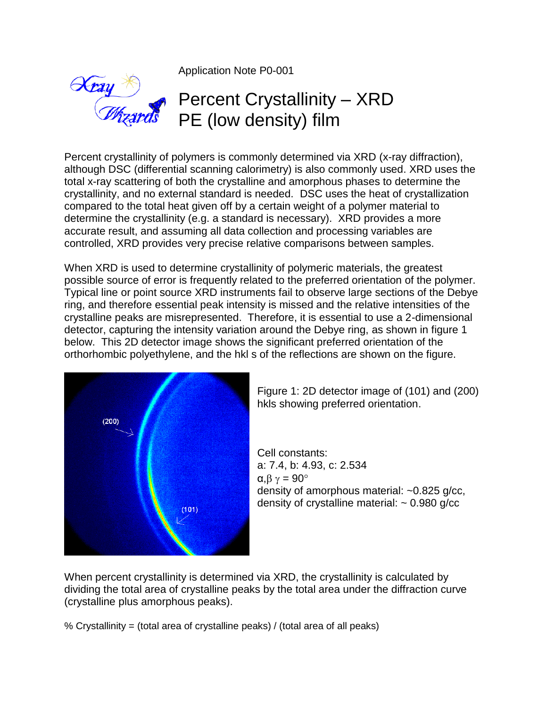Application Note P0-001



Percent crystallinity of polymers is commonly determined via XRD (x-ray diffraction), although DSC (differential scanning calorimetry) is also commonly used. XRD uses the total x-ray scattering of both the crystalline and amorphous phases to determine the crystallinity, and no external standard is needed. DSC uses the heat of crystallization compared to the total heat given off by a certain weight of a polymer material to determine the crystallinity (e.g. a standard is necessary). XRD provides a more accurate result, and assuming all data collection and processing variables are controlled, XRD provides very precise relative comparisons between samples.

When XRD is used to determine crystallinity of polymeric materials, the greatest possible source of error is frequently related to the preferred orientation of the polymer. Typical line or point source XRD instruments fail to observe large sections of the Debye ring, and therefore essential peak intensity is missed and the relative intensities of the crystalline peaks are misrepresented. Therefore, it is essential to use a 2-dimensional detector, capturing the intensity variation around the Debye ring, as shown in figure 1 below. This 2D detector image shows the significant preferred orientation of the orthorhombic polyethylene, and the hkl s of the reflections are shown on the figure.



Figure 1: 2D detector image of (101) and (200) hkls showing preferred orientation.

Cell constants: a: 7.4, b: 4.93, c: 2.534  $\alpha$ ,  $\beta$   $\gamma = 90^{\circ}$ density of amorphous material: ~0.825 g/cc, density of crystalline material:  $\sim 0.980$  g/cc

When percent crystallinity is determined via XRD, the crystallinity is calculated by dividing the total area of crystalline peaks by the total area under the diffraction curve (crystalline plus amorphous peaks).

% Crystallinity = (total area of crystalline peaks) / (total area of all peaks)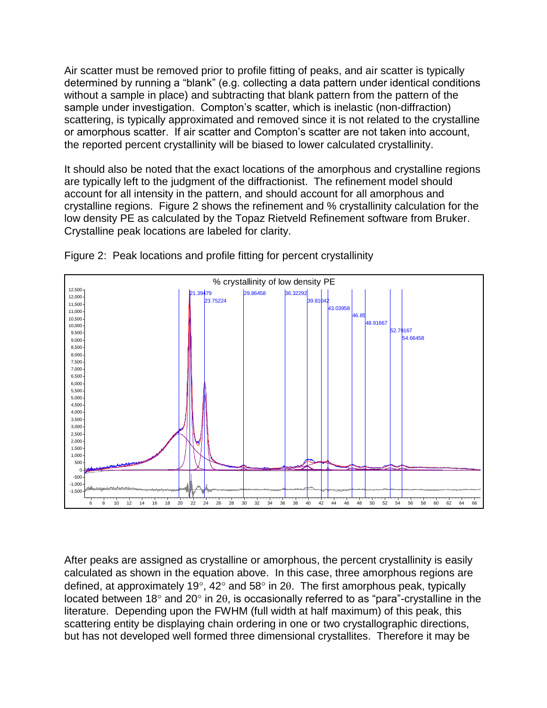Air scatter must be removed prior to profile fitting of peaks, and air scatter is typically determined by running a "blank" (e.g. collecting a data pattern under identical conditions without a sample in place) and subtracting that blank pattern from the pattern of the sample under investigation. Compton's scatter, which is inelastic (non-diffraction) scattering, is typically approximated and removed since it is not related to the crystalline or amorphous scatter. If air scatter and Compton's scatter are not taken into account, the reported percent crystallinity will be biased to lower calculated crystallinity.

It should also be noted that the exact locations of the amorphous and crystalline regions are typically left to the judgment of the diffractionist. The refinement model should account for all intensity in the pattern, and should account for all amorphous and crystalline regions. Figure 2 shows the refinement and % crystallinity calculation for the low density PE as calculated by the Topaz Rietveld Refinement software from Bruker. Crystalline peak locations are labeled for clarity.



Figure 2: Peak locations and profile fitting for percent crystallinity

After peaks are assigned as crystalline or amorphous, the percent crystallinity is easily calculated as shown in the equation above. In this case, three amorphous regions are defined, at approximately 19 $^{\circ}$ , 42 $^{\circ}$  and 58 $^{\circ}$  in 2 $\theta$ . The first amorphous peak, typically located between 18 $^{\circ}$  and 20 $^{\circ}$  in 2 $\theta$ , is occasionally referred to as "para"-crystalline in the literature. Depending upon the FWHM (full width at half maximum) of this peak, this scattering entity be displaying chain ordering in one or two crystallographic directions, but has not developed well formed three dimensional crystallites. Therefore it may be